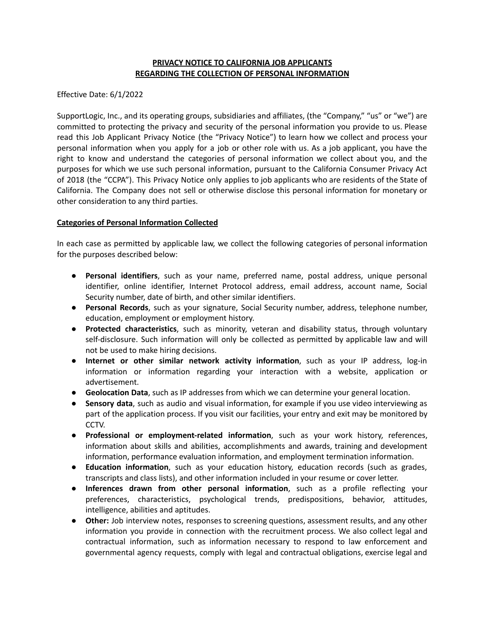## **PRIVACY NOTICE TO CALIFORNIA JOB APPLICANTS REGARDING THE COLLECTION OF PERSONAL INFORMATION**

Effective Date: 6/1/2022

SupportLogic, Inc., and its operating groups, subsidiaries and affiliates, (the "Company," "us" or "we") are committed to protecting the privacy and security of the personal information you provide to us. Please read this Job Applicant Privacy Notice (the "Privacy Notice") to learn how we collect and process your personal information when you apply for a job or other role with us. As a job applicant, you have the right to know and understand the categories of personal information we collect about you, and the purposes for which we use such personal information, pursuant to the California Consumer Privacy Act of 2018 (the "CCPA"). This Privacy Notice only applies to job applicants who are residents of the State of California. The Company does not sell or otherwise disclose this personal information for monetary or other consideration to any third parties.

## **Categories of Personal Information Collected**

In each case as permitted by applicable law, we collect the following categories of personal information for the purposes described below:

- **Personal identifiers**, such as your name, preferred name, postal address, unique personal identifier, online identifier, Internet Protocol address, email address, account name, Social Security number, date of birth, and other similar identifiers.
- **Personal Records**, such as your signature, Social Security number, address, telephone number, education, employment or employment history.
- **Protected characteristics**, such as minority, veteran and disability status, through voluntary self-disclosure. Such information will only be collected as permitted by applicable law and will not be used to make hiring decisions.
- **Internet or other similar network activity information**, such as your IP address, log-in information or information regarding your interaction with a website, application or advertisement.
- **Geolocation Data**, such as IP addresses from which we can determine your general location.
- **Sensory data**, such as audio and visual information, for example if you use video interviewing as part of the application process. If you visit our facilities, your entry and exit may be monitored by CCTV.
- **Professional or employment-related information**, such as your work history, references, information about skills and abilities, accomplishments and awards, training and development information, performance evaluation information, and employment termination information.
- **Education information**, such as your education history, education records (such as grades, transcripts and class lists), and other information included in your resume or cover letter.
- **Inferences drawn from other personal information**, such as a profile reflecting your preferences, characteristics, psychological trends, predispositions, behavior, attitudes, intelligence, abilities and aptitudes.
- **Other:** Job interview notes, responses to screening questions, assessment results, and any other information you provide in connection with the recruitment process. We also collect legal and contractual information, such as information necessary to respond to law enforcement and governmental agency requests, comply with legal and contractual obligations, exercise legal and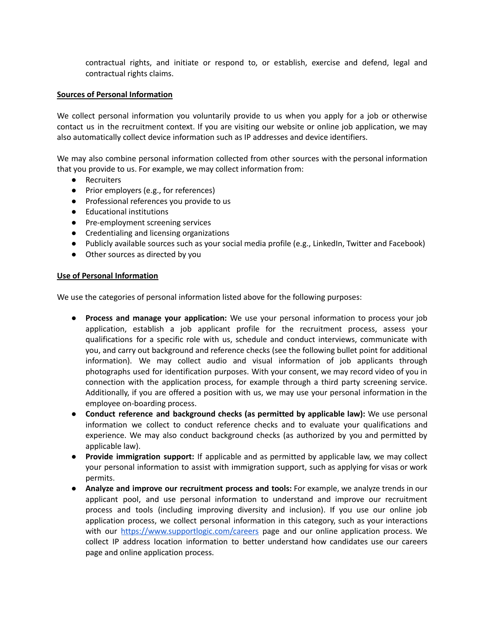contractual rights, and initiate or respond to, or establish, exercise and defend, legal and contractual rights claims.

#### **Sources of Personal Information**

We collect personal information you voluntarily provide to us when you apply for a job or otherwise contact us in the recruitment context. If you are visiting our website or online job application, we may also automatically collect device information such as IP addresses and device identifiers.

We may also combine personal information collected from other sources with the personal information that you provide to us. For example, we may collect information from:

- Recruiters
- Prior employers (e.g., for references)
- Professional references you provide to us
- Educational institutions
- Pre-employment screening services
- Credentialing and licensing organizations
- Publicly available sources such as your social media profile (e.g., LinkedIn, Twitter and Facebook)
- Other sources as directed by you

#### **Use of Personal Information**

We use the categories of personal information listed above for the following purposes:

- **Process and manage your application:** We use your personal information to process your job application, establish a job applicant profile for the recruitment process, assess your qualifications for a specific role with us, schedule and conduct interviews, communicate with you, and carry out background and reference checks (see the following bullet point for additional information). We may collect audio and visual information of job applicants through photographs used for identification purposes. With your consent, we may record video of you in connection with the application process, for example through a third party screening service. Additionally, if you are offered a position with us, we may use your personal information in the employee on-boarding process.
- **Conduct reference and background checks (as permitted by applicable law):** We use personal information we collect to conduct reference checks and to evaluate your qualifications and experience. We may also conduct background checks (as authorized by you and permitted by applicable law).
- **Provide immigration support:** If applicable and as permitted by applicable law, we may collect your personal information to assist with immigration support, such as applying for visas or work permits.
- **Analyze and improve our recruitment process and tools:** For example, we analyze trends in our applicant pool, and use personal information to understand and improve our recruitment process and tools (including improving diversity and inclusion). If you use our online job application process, we collect personal information in this category, such as your interactions with our <https://www.supportlogic.com/careers> page and our online application process. We collect IP address location information to better understand how candidates use our careers page and online application process.